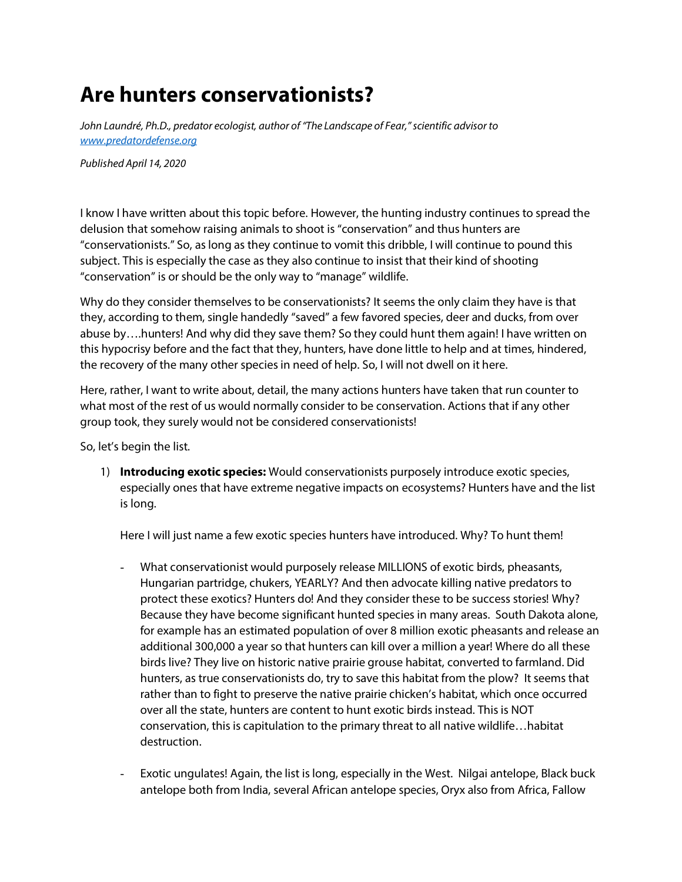*John Laundré, Ph.D., predator ecologist, author of "The Landscape of Fear," scientific advisor to [www.predatordefense.org](http://www.predatordefense.org/)*

*Published April 14, 2020*

I know I have written about this topic before. However, the hunting industry continues to spread the delusion that somehow raising animals to shoot is "conservation" and thus hunters are "conservationists." So, as long as they continue to vomit this dribble, I will continue to pound this subject. This is especially the case as they also continue to insist that their kind of shooting "conservation" is or should be the only way to "manage" wildlife.

Why do they consider themselves to be conservationists? It seems the only claim they have is that they, according to them, single handedly "saved" a few favored species, deer and ducks, from over abuse by….hunters! And why did they save them? So they could hunt them again! I have written on this hypocrisy before and the fact that they, hunters, have done little to help and at times, hindered, the recovery of the many other species in need of help. So, I will not dwell on it here.

Here, rather, I want to write about, detail, the many actions hunters have taken that run counter to what most of the rest of us would normally consider to be conservation. Actions that if any other group took, they surely would not be considered conservationists!

So, let's begin the list.

1) **Introducing exotic species:** Would conservationists purposely introduce exotic species, especially ones that have extreme negative impacts on ecosystems? Hunters have and the list is long.

Here I will just name a few exotic species hunters have introduced. Why? To hunt them!

- What conservationist would purposely release MILLIONS of exotic birds, pheasants, Hungarian partridge, chukers, YEARLY? And then advocate killing native predators to protect these exotics? Hunters do! And they consider these to be success stories! Why? Because they have become significant hunted species in many areas. South Dakota alone, for example has an estimated population of over 8 million exotic pheasants and release an additional 300,000 a year so that hunters can kill over a million a year! Where do all these birds live? They live on historic native prairie grouse habitat, converted to farmland. Did hunters, as true conservationists do, try to save this habitat from the plow? It seems that rather than to fight to preserve the native prairie chicken's habitat, which once occurred over all the state, hunters are content to hunt exotic birds instead. This is NOT conservation, this is capitulation to the primary threat to all native wildlife…habitat destruction.
- Exotic ungulates! Again, the list is long, especially in the West. Nilgai antelope, Black buck antelope both from India, several African antelope species, Oryx also from Africa, Fallow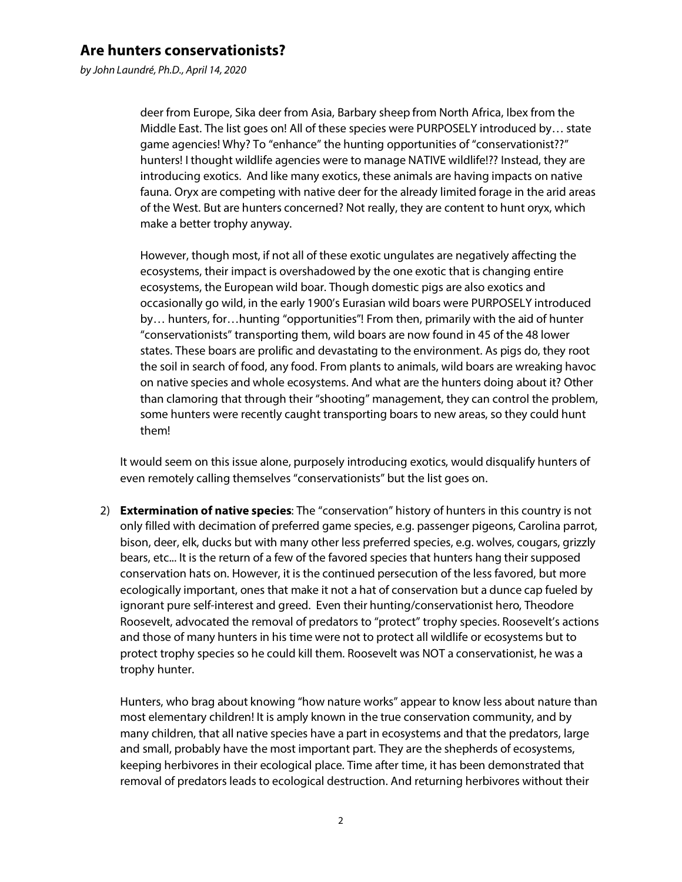*by John Laundré, Ph.D., April 14, 2020*

deer from Europe, Sika deer from Asia, Barbary sheep from North Africa, Ibex from the Middle East. The list goes on! All of these species were PURPOSELY introduced by… state game agencies! Why? To "enhance" the hunting opportunities of "conservationist??" hunters! I thought wildlife agencies were to manage NATIVE wildlife!?? Instead, they are introducing exotics. And like many exotics, these animals are having impacts on native fauna. Oryx are competing with native deer for the already limited forage in the arid areas of the West. But are hunters concerned? Not really, they are content to hunt oryx, which make a better trophy anyway.

However, though most, if not all of these exotic ungulates are negatively affecting the ecosystems, their impact is overshadowed by the one exotic that is changing entire ecosystems, the European wild boar. Though domestic pigs are also exotics and occasionally go wild, in the early 1900's Eurasian wild boars were PURPOSELY introduced by… hunters, for…hunting "opportunities"! From then, primarily with the aid of hunter "conservationists" transporting them, wild boars are now found in 45 of the 48 lower states. These boars are prolific and devastating to the environment. As pigs do, they root the soil in search of food, any food. From plants to animals, wild boars are wreaking havoc on native species and whole ecosystems. And what are the hunters doing about it? Other than clamoring that through their "shooting" management, they can control the problem, some hunters were recently caught transporting boars to new areas, so they could hunt them!

It would seem on this issue alone, purposely introducing exotics, would disqualify hunters of even remotely calling themselves "conservationists" but the list goes on.

2) **Extermination of native species**: The "conservation" history of hunters in this country is not only filled with decimation of preferred game species, e.g. passenger pigeons, Carolina parrot, bison, deer, elk, ducks but with many other less preferred species, e.g. wolves, cougars, grizzly bears, etc... It is the return of a few of the favored species that hunters hang their supposed conservation hats on. However, it is the continued persecution of the less favored, but more ecologically important, ones that make it not a hat of conservation but a dunce cap fueled by ignorant pure self-interest and greed. Even their hunting/conservationist hero, Theodore Roosevelt, advocated the removal of predators to "protect" trophy species. Roosevelt's actions and those of many hunters in his time were not to protect all wildlife or ecosystems but to protect trophy species so he could kill them. Roosevelt was NOT a conservationist, he was a trophy hunter.

Hunters, who brag about knowing "how nature works" appear to know less about nature than most elementary children! It is amply known in the true conservation community, and by many children, that all native species have a part in ecosystems and that the predators, large and small, probably have the most important part. They are the shepherds of ecosystems, keeping herbivores in their ecological place. Time after time, it has been demonstrated that removal of predators leads to ecological destruction. And returning herbivores without their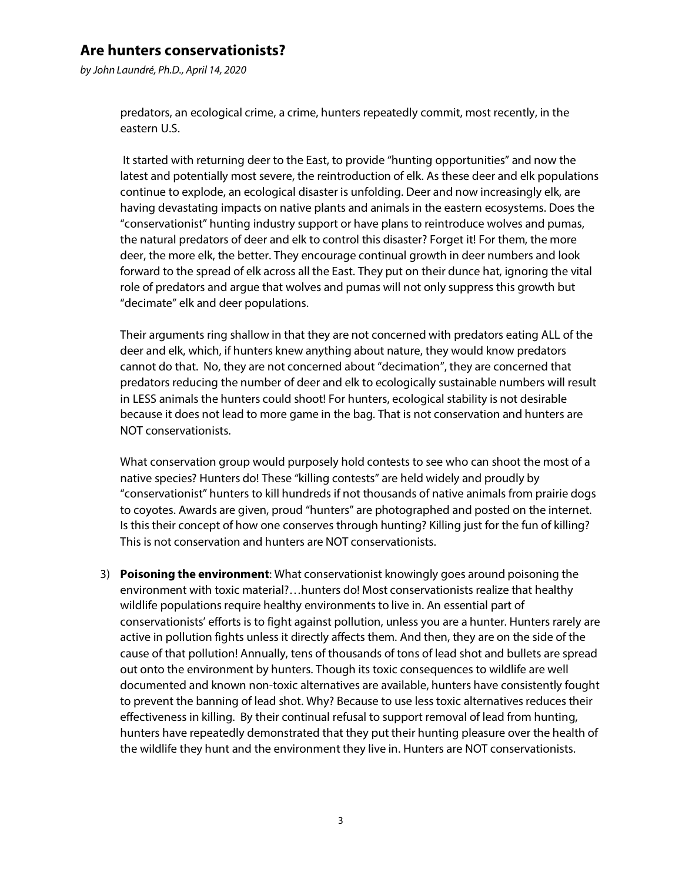*by John Laundré, Ph.D., April 14, 2020*

predators, an ecological crime, a crime, hunters repeatedly commit, most recently, in the eastern U.S.

It started with returning deer to the East, to provide "hunting opportunities" and now the latest and potentially most severe, the reintroduction of elk. As these deer and elk populations continue to explode, an ecological disaster is unfolding. Deer and now increasingly elk, are having devastating impacts on native plants and animals in the eastern ecosystems. Does the "conservationist" hunting industry support or have plans to reintroduce wolves and pumas, the natural predators of deer and elk to control this disaster? Forget it! For them, the more deer, the more elk, the better. They encourage continual growth in deer numbers and look forward to the spread of elk across all the East. They put on their dunce hat, ignoring the vital role of predators and argue that wolves and pumas will not only suppress this growth but "decimate" elk and deer populations.

Their arguments ring shallow in that they are not concerned with predators eating ALL of the deer and elk, which, if hunters knew anything about nature, they would know predators cannot do that. No, they are not concerned about "decimation", they are concerned that predators reducing the number of deer and elk to ecologically sustainable numbers will result in LESS animals the hunters could shoot! For hunters, ecological stability is not desirable because it does not lead to more game in the bag. That is not conservation and hunters are NOT conservationists.

What conservation group would purposely hold contests to see who can shoot the most of a native species? Hunters do! These "killing contests" are held widely and proudly by "conservationist" hunters to kill hundreds if not thousands of native animals from prairie dogs to coyotes. Awards are given, proud "hunters" are photographed and posted on the internet. Is this their concept of how one conserves through hunting? Killing just for the fun of killing? This is not conservation and hunters are NOT conservationists.

3) **Poisoning the environment**: What conservationist knowingly goes around poisoning the environment with toxic material?…hunters do! Most conservationists realize that healthy wildlife populations require healthy environments to live in. An essential part of conservationists' efforts is to fight against pollution, unless you are a hunter. Hunters rarely are active in pollution fights unless it directly affects them. And then, they are on the side of the cause of that pollution! Annually, tens of thousands of tons of lead shot and bullets are spread out onto the environment by hunters. Though its toxic consequences to wildlife are well documented and known non-toxic alternatives are available, hunters have consistently fought to prevent the banning of lead shot. Why? Because to use less toxic alternatives reduces their effectiveness in killing. By their continual refusal to support removal of lead from hunting, hunters have repeatedly demonstrated that they put their hunting pleasure over the health of the wildlife they hunt and the environment they live in. Hunters are NOT conservationists.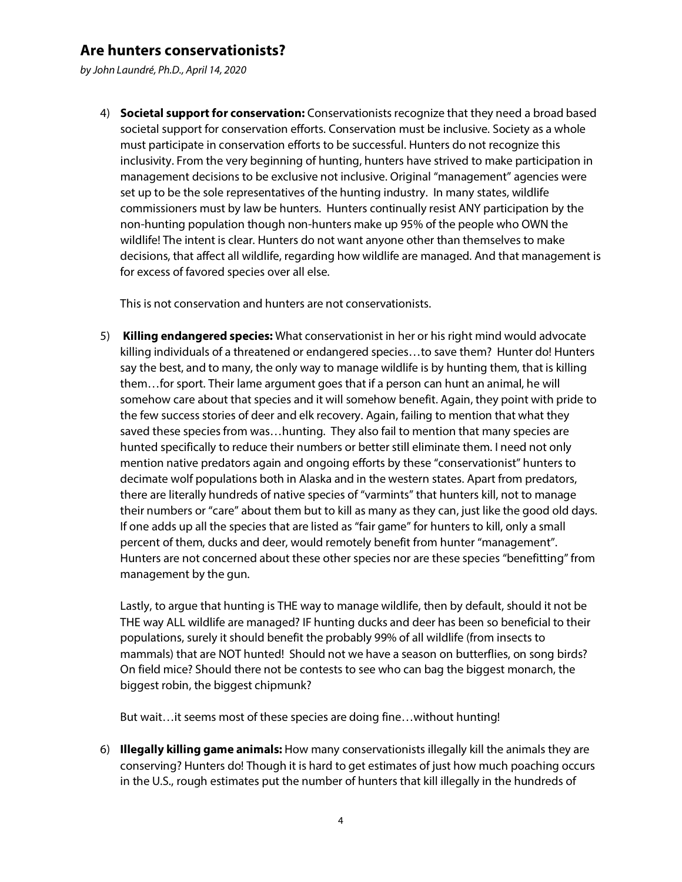*by John Laundré, Ph.D., April 14, 2020*

4) **Societal support for conservation:** Conservationists recognize that they need a broad based societal support for conservation efforts. Conservation must be inclusive. Society as a whole must participate in conservation efforts to be successful. Hunters do not recognize this inclusivity. From the very beginning of hunting, hunters have strived to make participation in management decisions to be exclusive not inclusive. Original "management" agencies were set up to be the sole representatives of the hunting industry. In many states, wildlife commissioners must by law be hunters. Hunters continually resist ANY participation by the non-hunting population though non-hunters make up 95% of the people who OWN the wildlife! The intent is clear. Hunters do not want anyone other than themselves to make decisions, that affect all wildlife, regarding how wildlife are managed. And that management is for excess of favored species over all else.

This is not conservation and hunters are not conservationists.

5) **Killing endangered species:** What conservationist in her or his right mind would advocate killing individuals of a threatened or endangered species…to save them? Hunter do! Hunters say the best, and to many, the only way to manage wildlife is by hunting them, that is killing them…for sport. Their lame argument goes that if a person can hunt an animal, he will somehow care about that species and it will somehow benefit. Again, they point with pride to the few success stories of deer and elk recovery. Again, failing to mention that what they saved these species from was…hunting. They also fail to mention that many species are hunted specifically to reduce their numbers or better still eliminate them. I need not only mention native predators again and ongoing efforts by these "conservationist" hunters to decimate wolf populations both in Alaska and in the western states. Apart from predators, there are literally hundreds of native species of "varmints" that hunters kill, not to manage their numbers or "care" about them but to kill as many as they can, just like the good old days. If one adds up all the species that are listed as "fair game" for hunters to kill, only a small percent of them, ducks and deer, would remotely benefit from hunter "management". Hunters are not concerned about these other species nor are these species "benefitting" from management by the gun.

Lastly, to argue that hunting is THE way to manage wildlife, then by default, should it not be THE way ALL wildlife are managed? IF hunting ducks and deer has been so beneficial to their populations, surely it should benefit the probably 99% of all wildlife (from insects to mammals) that are NOT hunted! Should not we have a season on butterflies, on song birds? On field mice? Should there not be contests to see who can bag the biggest monarch, the biggest robin, the biggest chipmunk?

But wait…it seems most of these species are doing fine…without hunting!

6) **Illegally killing game animals:** How many conservationists illegally kill the animals they are conserving? Hunters do! Though it is hard to get estimates of just how much poaching occurs in the U.S., rough estimates put the number of hunters that kill illegally in the hundreds of